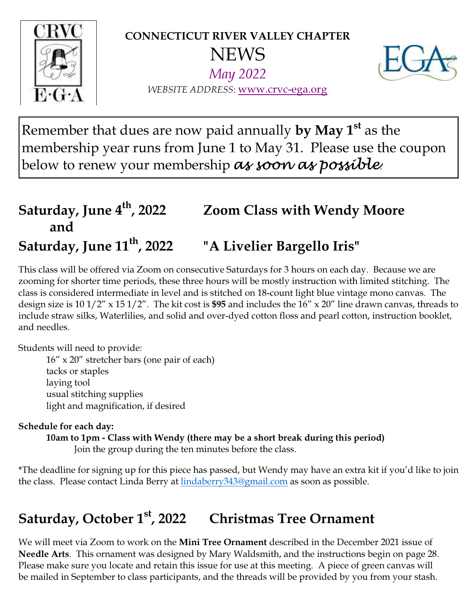

CONNECTICUT RIVER VALLEY CHAPTER **NEWS** May 2022



WEBSITE ADDRESS: www.crvc-ega.org

Remember that dues are now paid annually **by May 1**<sup>st</sup> as the membership year runs from June 1 to May 31. Please use the coupon below to renew your membership as soon as possible.

### Saturday, June 4<sup>th</sup>, 2022 Zoom Class with Wendy Moore and Saturday, June 11<sup>th</sup>, 2022 "A Livelier Bargello Iris"

This class will be offered via Zoom on consecutive Saturdays for 3 hours on each day. Because we are zooming for shorter time periods, these three hours will be mostly instruction with limited stitching. The class is considered intermediate in level and is stitched on 18-count light blue vintage mono canvas. The design size is  $10 \frac{1}{2}$  x  $15 \frac{1}{2}$ . The kit cost is \$95 and includes the  $16$ " x  $20$ " line drawn canvas, threads to include straw silks, Waterlilies, and solid and over-dyed cotton floss and pearl cotton, instruction booklet, and needles.

Students will need to provide:

 16" x 20" stretcher bars (one pair of each) tacks or staples laying tool usual stitching supplies light and magnification, if desired

#### Schedule for each day:

10am to 1pm - Class with Wendy (there may be a short break during this period) Join the group during the ten minutes before the class.

\*The deadline for signing up for this piece has passed, but Wendy may have an extra kit if you'd like to join the class. Please contact Linda Berry at lindaberry343@gmail.com as soon as possible.

### Saturday, October 1<sup>st</sup>, 2022 Christmas Tree Ornament

We will meet via Zoom to work on the **Mini Tree Ornament** described in the December 2021 issue of Needle Arts. This ornament was designed by Mary Waldsmith, and the instructions begin on page 28. Please make sure you locate and retain this issue for use at this meeting. A piece of green canvas will be mailed in September to class participants, and the threads will be provided by you from your stash.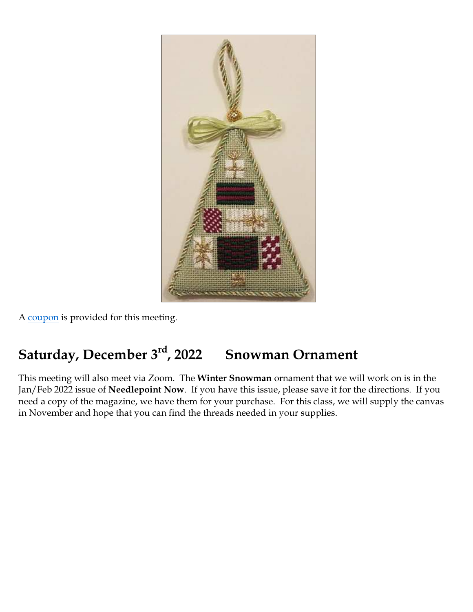

A coupon is provided for this meeting.

## Saturday, December 3<sup>rd</sup>, 2022 Snowman Ornament

This meeting will also meet via Zoom. The Winter Snowman ornament that we will work on is in the Jan/Feb 2022 issue of Needlepoint Now. If you have this issue, please save it for the directions. If you need a copy of the magazine, we have them for your purchase. For this class, we will supply the canvas in November and hope that you can find the threads needed in your supplies.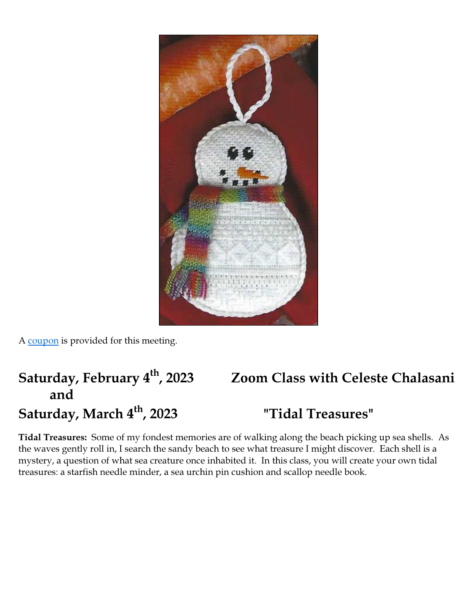

A coupon is provided for this meeting.

# Saturday, February 4<sup>th</sup>, 2023 Zoom Class with Celeste Chalasani and

# Saturday, March 4<sup>th</sup>, 2023 Treasures"

Tidal Treasures: Some of my fondest memories are of walking along the beach picking up sea shells. As the waves gently roll in, I search the sandy beach to see what treasure I might discover. Each shell is a mystery, a question of what sea creature once inhabited it. In this class, you will create your own tidal treasures: a starfish needle minder, a sea urchin pin cushion and scallop needle book.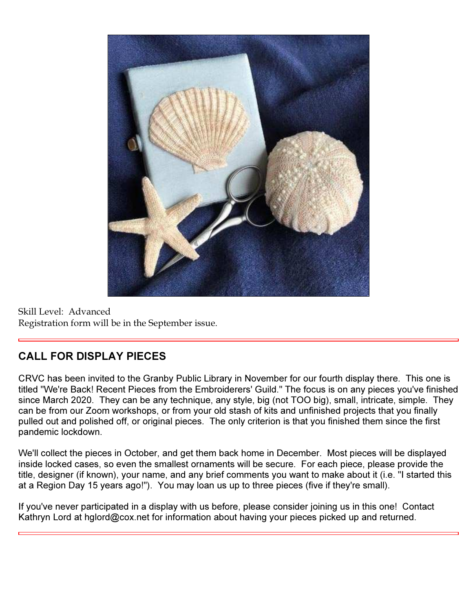

Skill Level: Advanced Registration form will be in the September issue.

#### CALL FOR DISPLAY PIECES

CRVC has been invited to the Granby Public Library in November for our fourth display there. This one is titled "We're Back! Recent Pieces from the Embroiderers' Guild." The focus is on any pieces you've finished since March 2020. They can be any technique, any style, big (not TOO big), small, intricate, simple. They can be from our Zoom workshops, or from your old stash of kits and unfinished projects that you finally pulled out and polished off, or original pieces. The only criterion is that you finished them since the first pandemic lockdown.

We'll collect the pieces in October, and get them back home in December. Most pieces will be displayed inside locked cases, so even the smallest ornaments will be secure. For each piece, please provide the title, designer (if known), your name, and any brief comments you want to make about it (i.e. "I started this at a Region Day 15 years ago!"). You may loan us up to three pieces (five if they're small).

If you've never participated in a display with us before, please consider joining us in this one! Contact Kathryn Lord at hglord@cox.net for information about having your pieces picked up and returned.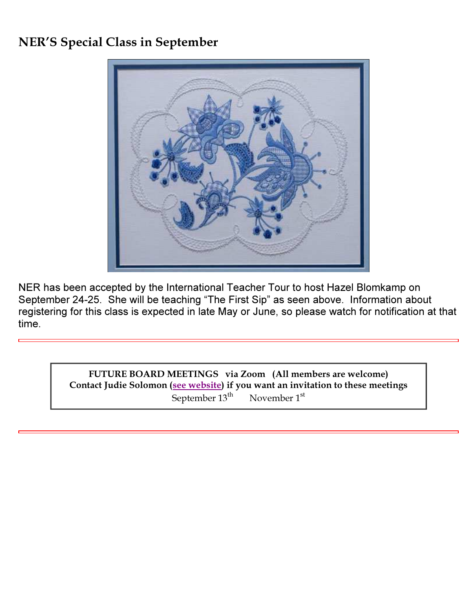#### NER'S Special Class in September



NER has been accepted by the International Teacher Tour to host Hazel Blomkamp on September 24-25. She will be teaching "The First Sip" as seen above. Information about registering for this class is expected in late May or June, so please watch for notification at that time.

> FUTURE BOARD MEETINGS via Zoom (All members are welcome) Contact Judie Solomon (see website) if you want an invitation to these meetings September 13<sup>th</sup> November 1<sup>st</sup>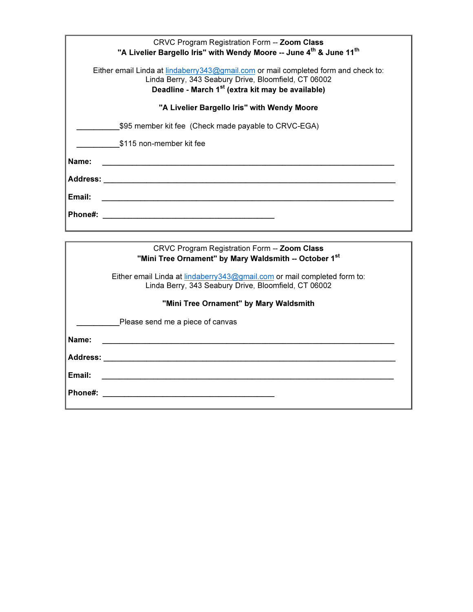| CRVC Program Registration Form -- Zoom Class<br>"A Livelier Bargello Iris" with Wendy Moore -- June 4th & June 11th                                                                                          |
|--------------------------------------------------------------------------------------------------------------------------------------------------------------------------------------------------------------|
| Either email Linda at lindaberry 343@gmail.com or mail completed form and check to:<br>Linda Berry, 343 Seabury Drive, Bloomfield, CT 06002<br>Deadline - March 1 <sup>st</sup> (extra kit may be available) |
| "A Livelier Bargello Iris" with Wendy Moore                                                                                                                                                                  |
| \$95 member kit fee (Check made payable to CRVC-EGA)                                                                                                                                                         |
| \$115 non-member kit fee                                                                                                                                                                                     |
| Name:                                                                                                                                                                                                        |
| <b>Address:</b>                                                                                                                                                                                              |
| Email:                                                                                                                                                                                                       |
| Phone#:                                                                                                                                                                                                      |
|                                                                                                                                                                                                              |

|                 | CRVC Program Registration Form -- Zoom Class<br>"Mini Tree Ornament" by Mary Waldsmith -- October 1st |
|-----------------|-------------------------------------------------------------------------------------------------------|
|                 | Either email Linda at lindaberry 343@gmail.com or mail completed form to:                             |
|                 | Linda Berry, 343 Seabury Drive, Bloomfield, CT 06002                                                  |
|                 | "Mini Tree Ornament" by Mary Waldsmith                                                                |
|                 | Please send me a piece of canvas                                                                      |
| Name:           |                                                                                                       |
| <b>Address:</b> |                                                                                                       |
| Email:          |                                                                                                       |
| Phone#:         |                                                                                                       |
|                 |                                                                                                       |